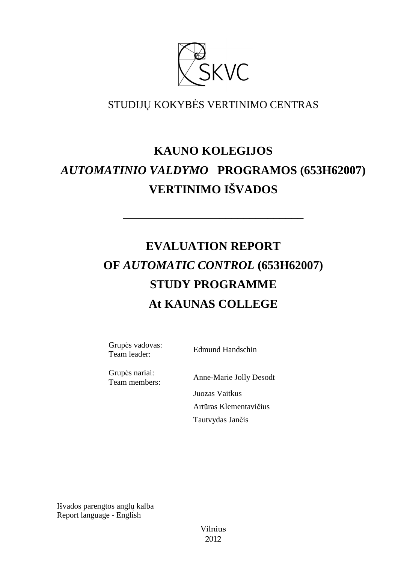

# STUDIJŲ KOKYBĖS VERTINIMO CENTRAS

# **KAUNO KOLEGIJOS**  *AUTOMATINIO VALDYMO* **PROGRAMOS (653H62007) VERTINIMO IŠVADOS**

**––––––––––––––––––––––––––––––** 

# **EVALUATION REPORT OF** *AUTOMATIC CONTROL* **(653H62007) STUDY PROGRAMME At KAUNAS COLLEGE**

Grupės vadovas: Grupes vadovas:<br>
Team leader: Edmund Handschin

Grupės nariai:

Team members: Anne-Marie Jolly Desodt Juozas Vaitkus Artūras Klementavičius Tautvydas Jančis

Išvados parengtos anglų kalba Report language - English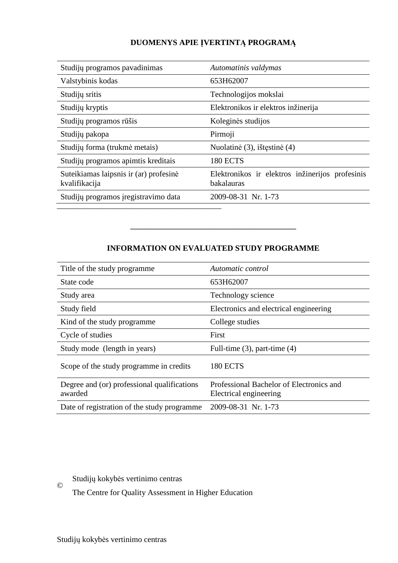# **DUOMENYS APIE ĮVERTINTĄ PROGRAMĄ**

| Studijų programos pavadinimas                           | Automatinis valdymas                                          |
|---------------------------------------------------------|---------------------------------------------------------------|
| Valstybinis kodas                                       | 653H62007                                                     |
| Studijų sritis                                          | Technologijos mokslai                                         |
| Studijų kryptis                                         | Elektronikos ir elektros inžinerija                           |
| Studijų programos rūšis                                 | Koleginės studijos                                            |
| Studijų pakopa                                          | Pirmoji                                                       |
| Studijų forma (trukmė metais)                           | Nuolatinė (3), ištęstinė (4)                                  |
| Studijų programos apimtis kreditais                     | <b>180 ECTS</b>                                               |
| Suteikiamas laipsnis ir (ar) profesinė<br>kvalifikacija | Elektronikos ir elektros inžinerijos profesinis<br>bakalauras |
| Studijų programos įregistravimo data                    | 2009-08-31 Nr. 1-73                                           |

# **INFORMATION ON EVALUATED STUDY PROGRAMME**

–––––––––––––––––––––––––––––––

| Title of the study programme                           | Automatic control                                                  |
|--------------------------------------------------------|--------------------------------------------------------------------|
| State code                                             | 653H62007                                                          |
| Study area                                             | Technology science                                                 |
| Study field                                            | Electronics and electrical engineering                             |
| Kind of the study programme                            | College studies                                                    |
| Cycle of studies                                       | First                                                              |
| Study mode (length in years)                           | Full-time $(3)$ , part-time $(4)$                                  |
| Scope of the study programme in credits                | <b>180 ECTS</b>                                                    |
| Degree and (or) professional qualifications<br>awarded | Professional Bachelor of Electronics and<br>Electrical engineering |
| Date of registration of the study programme            | 2009-08-31 Nr. 1-73                                                |

Studijų kokybės vertinimo centras

–––––––––––––––––––––––––––––––––––––––––

The Centre for Quality Assessment in Higher Education

©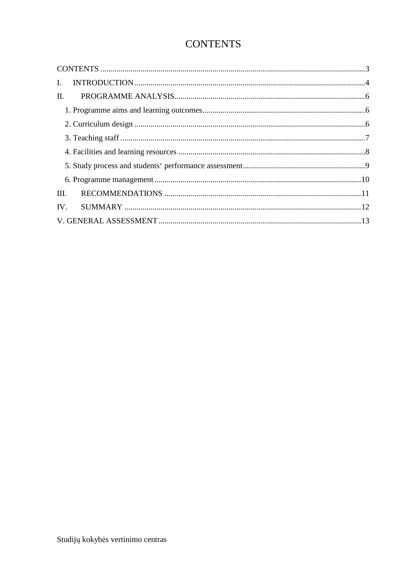# **CONTENTS**

| $\mathbf{L}$ |  |
|--------------|--|
| II.          |  |
|              |  |
|              |  |
|              |  |
|              |  |
|              |  |
|              |  |
| III.         |  |
| IV.          |  |
|              |  |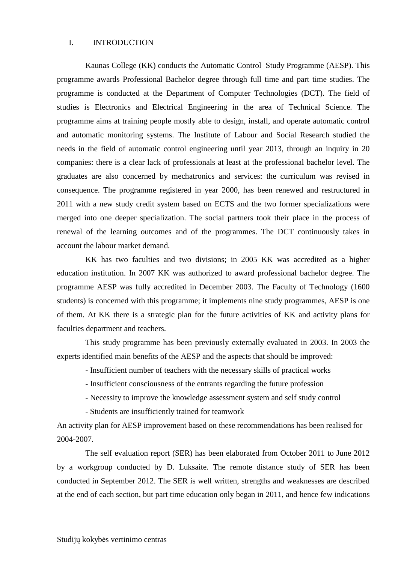#### I. INTRODUCTION

Kaunas College (KK) conducts the Automatic Control Study Programme (AESP). This programme awards Professional Bachelor degree through full time and part time studies. The programme is conducted at the Department of Computer Technologies (DCT). The field of studies is Electronics and Electrical Engineering in the area of Technical Science. The programme aims at training people mostly able to design, install, and operate automatic control and automatic monitoring systems. The Institute of Labour and Social Research studied the needs in the field of automatic control engineering until year 2013, through an inquiry in 20 companies: there is a clear lack of professionals at least at the professional bachelor level. The graduates are also concerned by mechatronics and services: the curriculum was revised in consequence. The programme registered in year 2000, has been renewed and restructured in 2011 with a new study credit system based on ECTS and the two former specializations were merged into one deeper specialization. The social partners took their place in the process of renewal of the learning outcomes and of the programmes. The DCT continuously takes in account the labour market demand.

KK has two faculties and two divisions; in 2005 KK was accredited as a higher education institution. In 2007 KK was authorized to award professional bachelor degree. The programme AESP was fully accredited in December 2003. The Faculty of Technology (1600 students) is concerned with this programme; it implements nine study programmes, AESP is one of them. At KK there is a strategic plan for the future activities of KK and activity plans for faculties department and teachers.

This study programme has been previously externally evaluated in 2003. In 2003 the experts identified main benefits of the AESP and the aspects that should be improved:

- Insufficient number of teachers with the necessary skills of practical works

- Insufficient consciousness of the entrants regarding the future profession
- Necessity to improve the knowledge assessment system and self study control
- Students are insufficiently trained for teamwork

An activity plan for AESP improvement based on these recommendations has been realised for 2004-2007.

The self evaluation report (SER) has been elaborated from October 2011 to June 2012 by a workgroup conducted by D. Luksaite. The remote distance study of SER has been conducted in September 2012. The SER is well written, strengths and weaknesses are described at the end of each section, but part time education only began in 2011, and hence few indications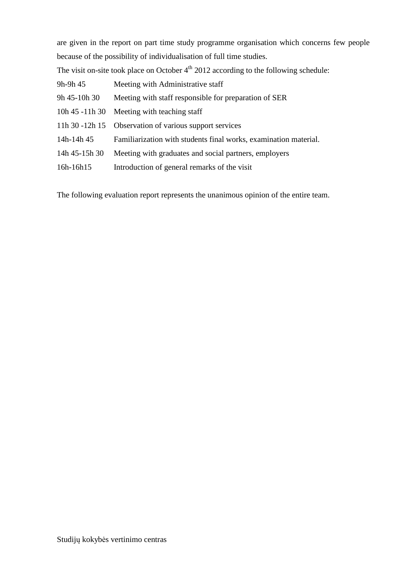are given in the report on part time study programme organisation which concerns few people because of the possibility of individualisation of full time studies.

The visit on-site took place on October  $4<sup>th</sup>$  2012 according to the following schedule:

| 9h-9h 45      | Meeting with Administrative staff                                |
|---------------|------------------------------------------------------------------|
| 9h 45-10h 30  | Meeting with staff responsible for preparation of SER            |
|               | 10h 45 -11h 30 Meeting with teaching staff                       |
|               | 11h 30 -12h 15 Observation of various support services           |
| 14h-14h 45    | Familiarization with students final works, examination material. |
| 14h 45-15h 30 | Meeting with graduates and social partners, employers            |
| 16h-16h15     | Introduction of general remarks of the visit                     |

The following evaluation report represents the unanimous opinion of the entire team.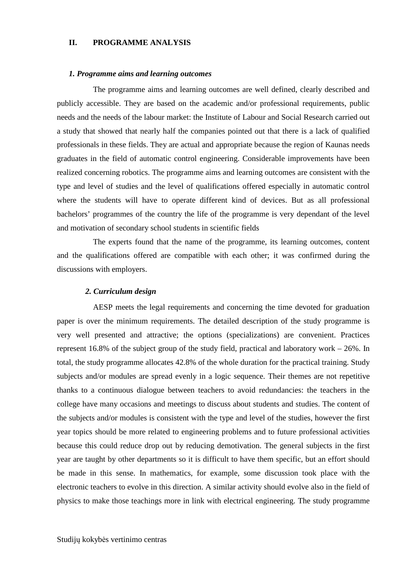#### **II. PROGRAMME ANALYSIS**

#### *1. Programme aims and learning outcomes*

 The programme aims and learning outcomes are well defined, clearly described and publicly accessible. They are based on the academic and/or professional requirements, public needs and the needs of the labour market: the Institute of Labour and Social Research carried out a study that showed that nearly half the companies pointed out that there is a lack of qualified professionals in these fields. They are actual and appropriate because the region of Kaunas needs graduates in the field of automatic control engineering. Considerable improvements have been realized concerning robotics. The programme aims and learning outcomes are consistent with the type and level of studies and the level of qualifications offered especially in automatic control where the students will have to operate different kind of devices. But as all professional bachelors' programmes of the country the life of the programme is very dependant of the level and motivation of secondary school students in scientific fields

 The experts found that the name of the programme, its learning outcomes, content and the qualifications offered are compatible with each other; it was confirmed during the discussions with employers.

#### *2. Curriculum design*

 AESP meets the legal requirements and concerning the time devoted for graduation paper is over the minimum requirements. The detailed description of the study programme is very well presented and attractive; the options (specializations) are convenient. Practices represent 16.8% of the subject group of the study field, practical and laboratory work – 26%. In total, the study programme allocates 42.8% of the whole duration for the practical training. Study subjects and/or modules are spread evenly in a logic sequence. Their themes are not repetitive thanks to a continuous dialogue between teachers to avoid redundancies: the teachers in the college have many occasions and meetings to discuss about students and studies. The content of the subjects and/or modules is consistent with the type and level of the studies, however the first year topics should be more related to engineering problems and to future professional activities because this could reduce drop out by reducing demotivation. The general subjects in the first year are taught by other departments so it is difficult to have them specific, but an effort should be made in this sense. In mathematics, for example, some discussion took place with the electronic teachers to evolve in this direction. A similar activity should evolve also in the field of physics to make those teachings more in link with electrical engineering. The study programme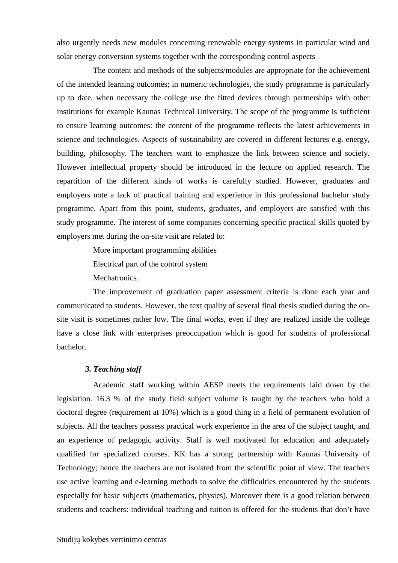also urgently needs new modules concerning renewable energy systems in particular wind and solar energy conversion systems together with the corresponding control aspects

 The content and methods of the subjects/modules are appropriate for the achievement of the intended learning outcomes; in numeric technologies, the study programme is particularly up to date, when necessary the college use the fitted devices through partnerships with other institutions for example Kaunas Technical University. The scope of the programme is sufficient to ensure learning outcomes: the content of the programme reflects the latest achievements in science and technologies. Aspects of sustainability are covered in different lectures e.g. energy, building, philosophy. The teachers want to emphasize the link between science and society. However intellectual property should be introduced in the lecture on applied research. The repartition of the different kinds of works is carefully studied. However, graduates and employers note a lack of practical training and experience in this professional bachelor study programme. Apart from this point, students, graduates, and employers are satisfied with this study programme. The interest of some companies concerning specific practical skills quoted by employers met during the on-site visit are related to:

More important programming abilities

Electrical part of the control system

Mechatronics.

 The improvement of graduation paper assessment criteria is done each year and communicated to students. However, the text quality of several final thesis studied during the onsite visit is sometimes rather low. The final works, even if they are realized inside the college have a close link with enterprises preoccupation which is good for students of professional bachelor.

#### *3. Teaching staff*

 Academic staff working within AESP meets the requirements laid down by the legislation. 16.3 % of the study field subject volume is taught by the teachers who hold a doctoral degree (requirement at 10%) which is a good thing in a field of permanent evolution of subjects. All the teachers possess practical work experience in the area of the subject taught, and an experience of pedagogic activity. Staff is well motivated for education and adequately qualified for specialized courses. KK has a strong partnership with Kaunas University of Technology; hence the teachers are not isolated from the scientific point of view. The teachers use active learning and e-learning methods to solve the difficulties encountered by the students especially for basic subjects (mathematics, physics). Moreover there is a good relation between students and teachers: individual teaching and tuition is offered for the students that don't have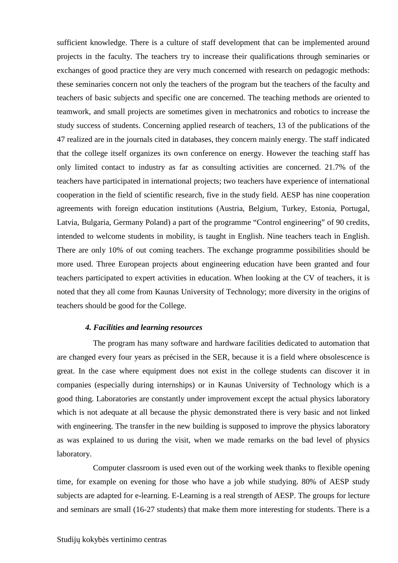sufficient knowledge. There is a culture of staff development that can be implemented around projects in the faculty. The teachers try to increase their qualifications through seminaries or exchanges of good practice they are very much concerned with research on pedagogic methods: these seminaries concern not only the teachers of the program but the teachers of the faculty and teachers of basic subjects and specific one are concerned. The teaching methods are oriented to teamwork, and small projects are sometimes given in mechatronics and robotics to increase the study success of students. Concerning applied research of teachers, 13 of the publications of the 47 realized are in the journals cited in databases, they concern mainly energy. The staff indicated that the college itself organizes its own conference on energy. However the teaching staff has only limited contact to industry as far as consulting activities are concerned. 21.7% of the teachers have participated in international projects; two teachers have experience of international cooperation in the field of scientific research, five in the study field. AESP has nine cooperation agreements with foreign education institutions (Austria, Belgium, Turkey, Estonia, Portugal, Latvia, Bulgaria, Germany Poland) a part of the programme "Control engineering" of 90 credits, intended to welcome students in mobility, is taught in English. Nine teachers teach in English. There are only 10% of out coming teachers. The exchange programme possibilities should be more used. Three European projects about engineering education have been granted and four teachers participated to expert activities in education. When looking at the CV of teachers, it is noted that they all come from Kaunas University of Technology; more diversity in the origins of teachers should be good for the College.

#### *4. Facilities and learning resources*

 The program has many software and hardware facilities dedicated to automation that are changed every four years as précised in the SER, because it is a field where obsolescence is great. In the case where equipment does not exist in the college students can discover it in companies (especially during internships) or in Kaunas University of Technology which is a good thing. Laboratories are constantly under improvement except the actual physics laboratory which is not adequate at all because the physic demonstrated there is very basic and not linked with engineering. The transfer in the new building is supposed to improve the physics laboratory as was explained to us during the visit, when we made remarks on the bad level of physics laboratory.

 Computer classroom is used even out of the working week thanks to flexible opening time, for example on evening for those who have a job while studying. 80% of AESP study subjects are adapted for e-learning. E-Learning is a real strength of AESP. The groups for lecture and seminars are small (16-27 students) that make them more interesting for students. There is a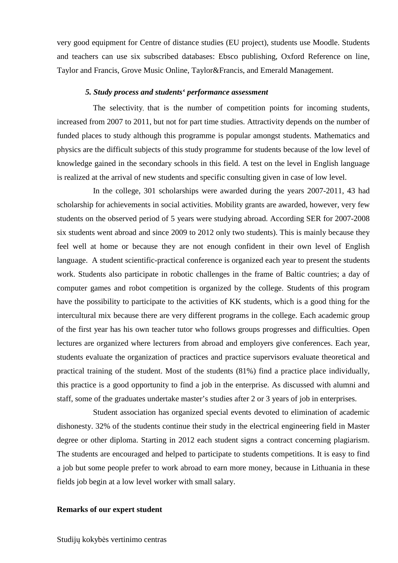very good equipment for Centre of distance studies (EU project), students use Moodle. Students and teachers can use six subscribed databases: Ebsco publishing, Oxford Reference on line, Taylor and Francis, Grove Music Online, Taylor&Francis, and Emerald Management.

#### *5. Study process and students' performance assessment*

 The selectivity, that is the number of competition points for incoming students, increased from 2007 to 2011, but not for part time studies. Attractivity depends on the number of funded places to study although this programme is popular amongst students. Mathematics and physics are the difficult subjects of this study programme for students because of the low level of knowledge gained in the secondary schools in this field. A test on the level in English language is realized at the arrival of new students and specific consulting given in case of low level.

 In the college, 301 scholarships were awarded during the years 2007-2011, 43 had scholarship for achievements in social activities. Mobility grants are awarded, however, very few students on the observed period of 5 years were studying abroad. According SER for 2007-2008 six students went abroad and since 2009 to 2012 only two students). This is mainly because they feel well at home or because they are not enough confident in their own level of English language. A student scientific-practical conference is organized each year to present the students work. Students also participate in robotic challenges in the frame of Baltic countries; a day of computer games and robot competition is organized by the college. Students of this program have the possibility to participate to the activities of KK students, which is a good thing for the intercultural mix because there are very different programs in the college. Each academic group of the first year has his own teacher tutor who follows groups progresses and difficulties. Open lectures are organized where lecturers from abroad and employers give conferences. Each year, students evaluate the organization of practices and practice supervisors evaluate theoretical and practical training of the student. Most of the students (81%) find a practice place individually, this practice is a good opportunity to find a job in the enterprise. As discussed with alumni and staff, some of the graduates undertake master's studies after 2 or 3 years of job in enterprises.

 Student association has organized special events devoted to elimination of academic dishonesty. 32% of the students continue their study in the electrical engineering field in Master degree or other diploma. Starting in 2012 each student signs a contract concerning plagiarism. The students are encouraged and helped to participate to students competitions. It is easy to find a job but some people prefer to work abroad to earn more money, because in Lithuania in these fields job begin at a low level worker with small salary.

#### **Remarks of our expert student**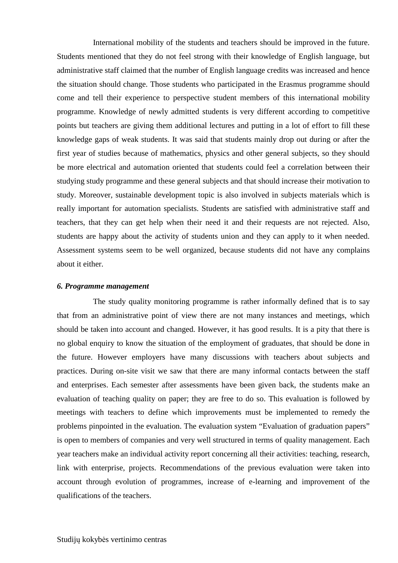International mobility of the students and teachers should be improved in the future. Students mentioned that they do not feel strong with their knowledge of English language, but administrative staff claimed that the number of English language credits was increased and hence the situation should change. Those students who participated in the Erasmus programme should come and tell their experience to perspective student members of this international mobility programme. Knowledge of newly admitted students is very different according to competitive points but teachers are giving them additional lectures and putting in a lot of effort to fill these knowledge gaps of weak students. It was said that students mainly drop out during or after the first year of studies because of mathematics, physics and other general subjects, so they should be more electrical and automation oriented that students could feel a correlation between their studying study programme and these general subjects and that should increase their motivation to study. Moreover, sustainable development topic is also involved in subjects materials which is really important for automation specialists. Students are satisfied with administrative staff and teachers, that they can get help when their need it and their requests are not rejected. Also, students are happy about the activity of students union and they can apply to it when needed. Assessment systems seem to be well organized, because students did not have any complains about it either.

#### *6. Programme management*

 The study quality monitoring programme is rather informally defined that is to say that from an administrative point of view there are not many instances and meetings, which should be taken into account and changed. However, it has good results. It is a pity that there is no global enquiry to know the situation of the employment of graduates, that should be done in the future. However employers have many discussions with teachers about subjects and practices. During on-site visit we saw that there are many informal contacts between the staff and enterprises. Each semester after assessments have been given back, the students make an evaluation of teaching quality on paper; they are free to do so. This evaluation is followed by meetings with teachers to define which improvements must be implemented to remedy the problems pinpointed in the evaluation. The evaluation system "Evaluation of graduation papers" is open to members of companies and very well structured in terms of quality management. Each year teachers make an individual activity report concerning all their activities: teaching, research, link with enterprise, projects. Recommendations of the previous evaluation were taken into account through evolution of programmes, increase of e-learning and improvement of the qualifications of the teachers.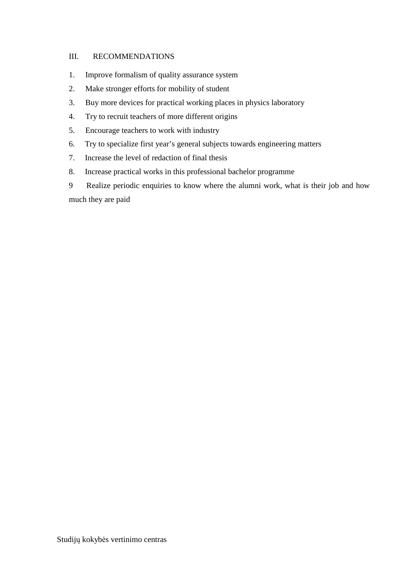## III. RECOMMENDATIONS

- 1. Improve formalism of quality assurance system
- 2. Make stronger efforts for mobility of student
- 3. Buy more devices for practical working places in physics laboratory
- 4. Try to recruit teachers of more different origins
- 5. Encourage teachers to work with industry
- 6. Try to specialize first year's general subjects towards engineering matters
- 7. Increase the level of redaction of final thesis
- 8. Increase practical works in this professional bachelor programme
- 9 Realize periodic enquiries to know where the alumni work, what is their job and how much they are paid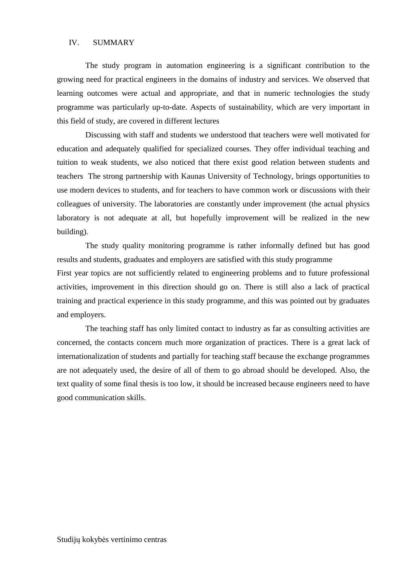#### IV. SUMMARY

The study program in automation engineering is a significant contribution to the growing need for practical engineers in the domains of industry and services. We observed that learning outcomes were actual and appropriate, and that in numeric technologies the study programme was particularly up-to-date. Aspects of sustainability, which are very important in this field of study, are covered in different lectures

Discussing with staff and students we understood that teachers were well motivated for education and adequately qualified for specialized courses. They offer individual teaching and tuition to weak students, we also noticed that there exist good relation between students and teachers The strong partnership with Kaunas University of Technology, brings opportunities to use modern devices to students, and for teachers to have common work or discussions with their colleagues of university. The laboratories are constantly under improvement (the actual physics laboratory is not adequate at all, but hopefully improvement will be realized in the new building).

The study quality monitoring programme is rather informally defined but has good results and students, graduates and employers are satisfied with this study programme First year topics are not sufficiently related to engineering problems and to future professional activities, improvement in this direction should go on. There is still also a lack of practical training and practical experience in this study programme, and this was pointed out by graduates and employers.

The teaching staff has only limited contact to industry as far as consulting activities are concerned, the contacts concern much more organization of practices. There is a great lack of internationalization of students and partially for teaching staff because the exchange programmes are not adequately used, the desire of all of them to go abroad should be developed. Also, the text quality of some final thesis is too low, it should be increased because engineers need to have good communication skills.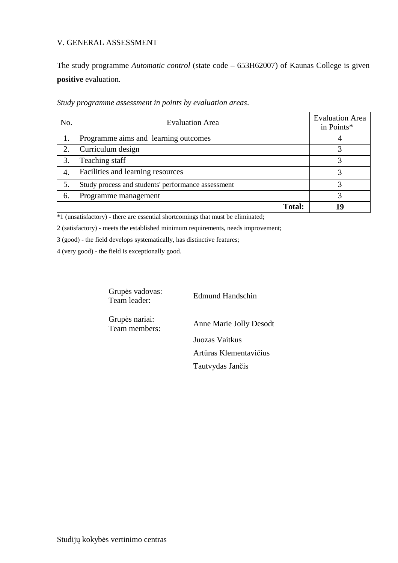## V. GENERAL ASSESSMENT

The study programme *Automatic control* (state code – 653H62007) of Kaunas College is given **positive** evaluation.

| No. | <b>Evaluation Area</b>                             | <b>Evaluation Area</b><br>in Points* |
|-----|----------------------------------------------------|--------------------------------------|
|     | Programme aims and learning outcomes               |                                      |
| 2.  | Curriculum design                                  |                                      |
| 3.  | Teaching staff                                     |                                      |
| 4.  | Facilities and learning resources                  |                                      |
| 5.  | Study process and students' performance assessment |                                      |
| 6.  | Programme management                               |                                      |
|     | <b>Total:</b>                                      | ГQ                                   |

*Study programme assessment in points by evaluation areas*.

\*1 (unsatisfactory) - there are essential shortcomings that must be eliminated;

2 (satisfactory) - meets the established minimum requirements, needs improvement;

3 (good) - the field develops systematically, has distinctive features;

4 (very good) - the field is exceptionally good.

Grupės vadovas: Team leader: Edmund Handschin

Grupės nariai:

Team members: Anne Marie Jolly Desodt

 Juozas Vaitkus Artūras Klementavičius Tautvydas Jančis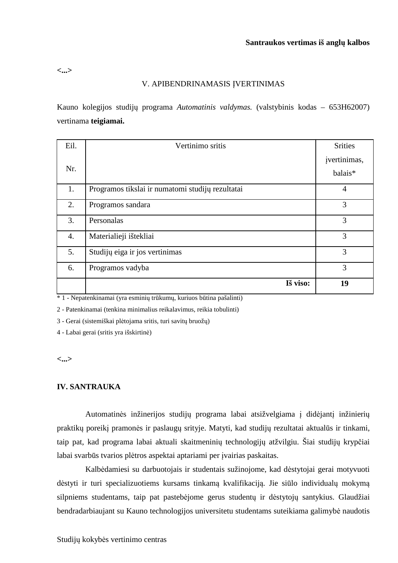**<...>** 

#### V. APIBENDRINAMASIS ĮVERTINIMAS

Kauno kolegijos studijų programa *Automatinis valdymas.* (valstybinis kodas – 653H62007) vertinama **teigiamai.**

| Eil. | Vertinimo sritis                                 | <b>Srities</b>          |
|------|--------------------------------------------------|-------------------------|
| Nr.  |                                                  | įvertinimas,<br>balais* |
| 1.   | Programos tikslai ir numatomi studijų rezultatai | $\overline{4}$          |
| 2.   | Programos sandara                                | 3                       |
| 3.   | Personalas                                       | 3                       |
| 4.   | Materialieji ištekliai                           | 3                       |
| 5.   | Studijų eiga ir jos vertinimas                   | 3                       |
| 6.   | Programos vadyba                                 | 3                       |
|      | Iš viso:                                         | 19                      |

\* 1 - Nepatenkinamai (yra esminių trūkumų, kuriuos būtina pašalinti)

2 - Patenkinamai (tenkina minimalius reikalavimus, reikia tobulinti)

3 - Gerai (sistemiškai plėtojama sritis, turi savitų bruožų)

4 - Labai gerai (sritis yra išskirtinė)

**<...>** 

### **IV. SANTRAUKA**

Automatinės inžinerijos studijų programa labai atsižvelgiama į didėjantį inžinierių praktikų poreikį pramonės ir paslaugų srityje. Matyti, kad studijų rezultatai aktualūs ir tinkami, taip pat, kad programa labai aktuali skaitmeninių technologijų atžvilgiu. Šiai studijų krypčiai labai svarbūs tvarios plėtros aspektai aptariami per įvairias paskaitas.

Kalbėdamiesi su darbuotojais ir studentais sužinojome, kad dėstytojai gerai motyvuoti dėstyti ir turi specializuotiems kursams tinkamą kvalifikaciją. Jie siūlo individualų mokymą silpniems studentams, taip pat pastebėjome gerus studentų ir dėstytojų santykius. Glaudžiai bendradarbiaujant su Kauno technologijos universitetu studentams suteikiama galimybė naudotis